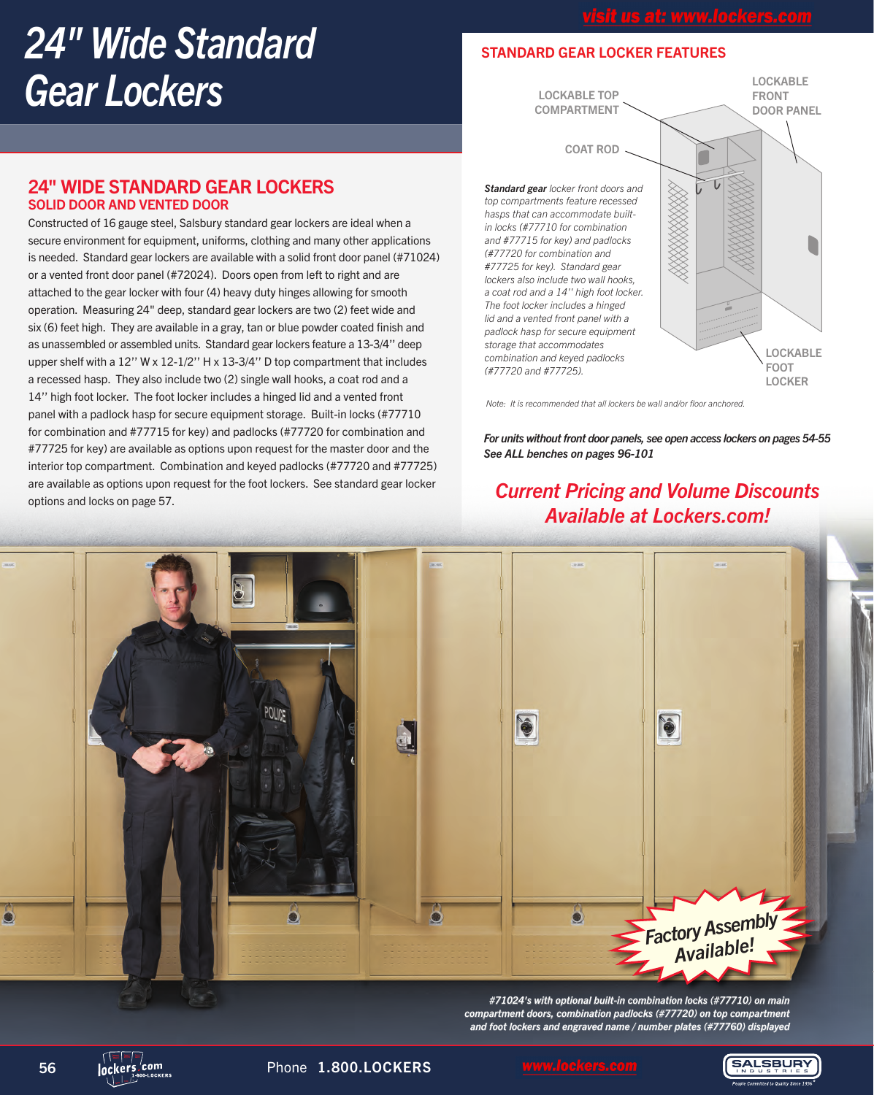# *24" Wide Standard Gear Lockers*

## STANDARD GEAR LOCKER FEATURES



*Note: It is recommended that all lockers be wall and/or floor anchored.*

*For units without front door panels, see open access lockers on pages 54-55 See ALL benches on pages 96-101*

## *Current Pricing and Volume Discounts Available at Lockers.com!*



*#71024's with optional built-in combination locks (#77710) on main compartment doors, combination padlocks (#77720) on top compartment and foot lockers and engraved name / number plates (#77760) displayed*

Constructed of 16 gauge steel, Salsbury standard gear lockers are ideal when a secure environment for equipment, uniforms, clothing and many other applications is needed. Standard gear lockers are available with a solid front door panel (#71024) or a vented front door panel (#72024). Doors open from left to right and are attached to the gear locker with four (4) heavy duty hinges allowing for smooth operation. Measuring 24" deep, standard gear lockers are two (2) feet wide and six (6) feet high. They are available in a gray, tan or blue powder coated finish and as unassembled or assembled units. Standard gear lockers feature a 13-3/4'' deep upper shelf with a 12'' W x 12-1/2'' H x 13-3/4'' D top compartment that includes a recessed hasp. They also include two (2) single wall hooks, a coat rod and a 14'' high foot locker. The foot locker includes a hinged lid and a vented front panel with a padlock hasp for secure equipment storage. Built-in locks (#77710 for combination and #77715 for key) and padlocks (#77720 for combination and #77725 for key) are available as options upon request for the master door and the interior top compartment. Combination and keyed padlocks (#77720 and #77725) are available as options upon request for the foot lockers. See standard gear locker options and locks on page 57.